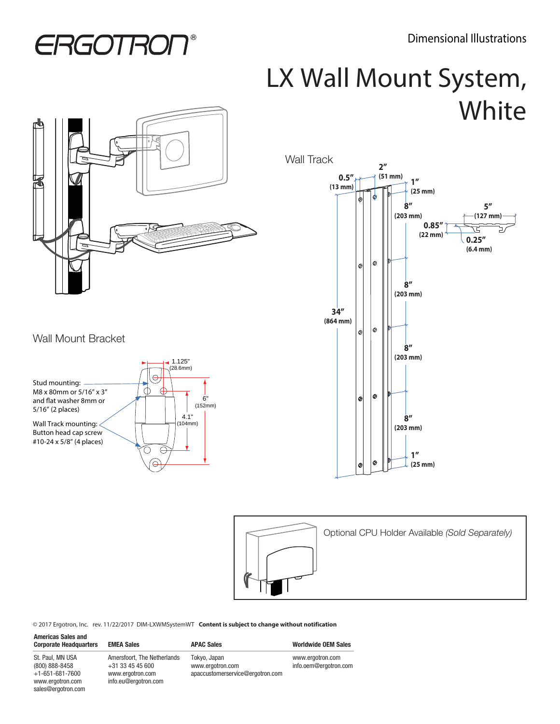## **ERGOTRON®**

## LX Wall Mount System, **White**



## Wall Mount Bracket

sales@ergotron.com







© 2017 Ergotron, Inc. rev. 11/22/2017 DIM-LXWMSystemWT **Content is subject to change without notification**

| <b>Americas Sales and</b><br><b>Corporate Headquarters</b>                        | <b>EMEA Sales</b>                                                                             | <b>APAC Sales</b>                                                    | <b>Worldwide OEM Sales</b>                |
|-----------------------------------------------------------------------------------|-----------------------------------------------------------------------------------------------|----------------------------------------------------------------------|-------------------------------------------|
| St. Paul. MN USA<br>(800) 888-8458<br>$+1 - 651 - 681 - 7600$<br>www.ergotron.com | Amersfoort. The Netherlands<br>$+31$ 33 45 45 600<br>www.ergotron.com<br>info.eu@ergotron.com | Tokyo, Japan<br>www.ergotron.com<br>apaccustomerservice@ergotron.com | www.ergotron.com<br>info.oem@ergotron.com |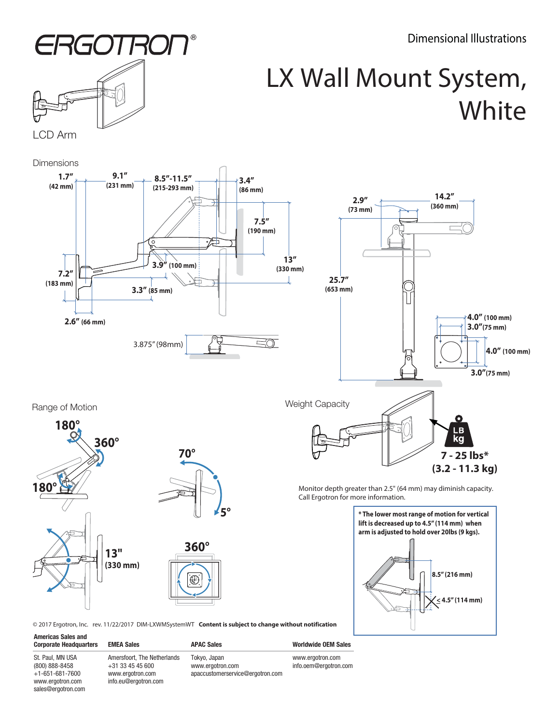Dimensional Illustrations



## LX Wall Mount System, **White**

**Dimensions** 





Range of Motion





**360°** ৻િ

Monitor depth greater than 2.5" (64 mm) may diminish capacity. Call Ergotron for more information.



**(3.2 - 11.3 kg)**

© 2017 Ergotron, Inc. rev. 11/22/2017 DIM-LXWMSystemWT **Content is subject to change without notification**

St. Paul, MN USA (800) 888-8458  $+1-651-681-7600$ www.ergotron.com sales@ergotron.com

**Americas Sales and** 

Amersfoort, The Netherlands +31 33 45 45 600 www.ergotron.com info.eu@ergotron.com

Tokyo, Japan www.ergotron.com apaccustomerservice@ergotron.com

Corporate Headquarters EMEA Sales **APAC Sales** APAC Sales Worldwide OEM Sales

www.ergotron.com info.oem@ergotron.com